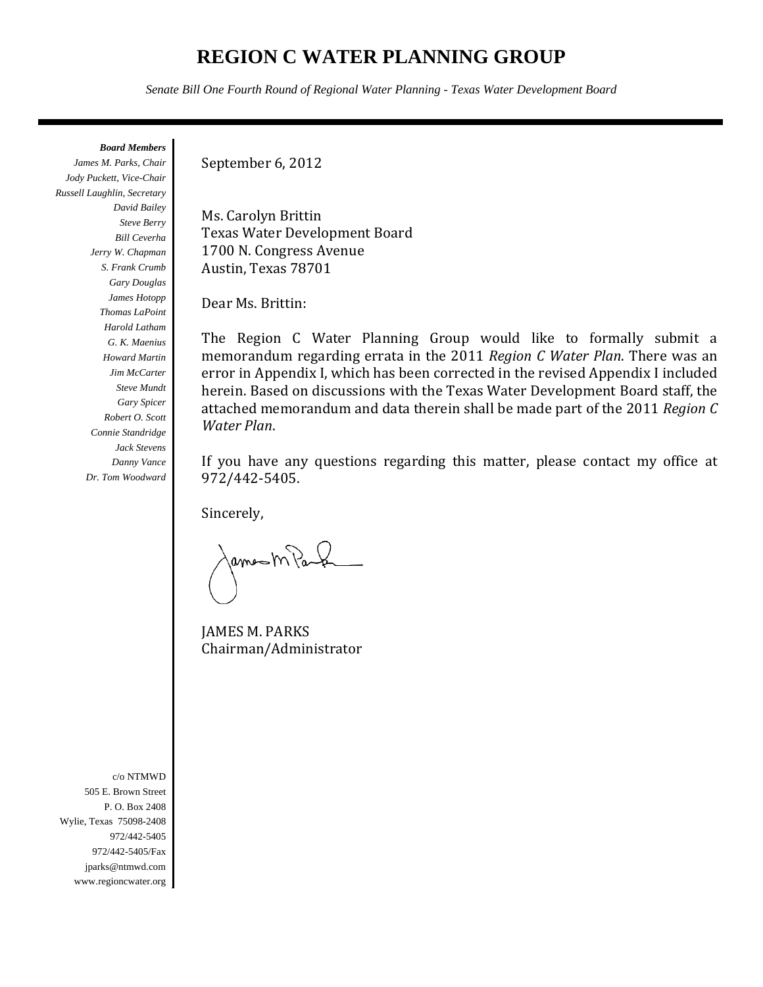# **REGION C WATER PLANNING GROUP**

*Senate Bill One Fourth Round of Regional Water Planning - Texas Water Development Board*

*Board Members* 

*James M. Parks, Chair Jody Puckett, Vice-Chair Russell Laughlin, Secretary David Bailey Steve Berry Bill Ceverha Jerry W. Chapman S. Frank Crumb Gary Douglas James Hotopp Thomas LaPoint Harold Latham G. K. Maenius Howard Martin Jim McCarter Steve Mundt Gary Spicer Robert O. Scott Connie Standridge Jack Stevens Danny Vance Dr. Tom Woodward* 

September 6, 2012

Ms. Carolyn Brittin Texas Water Development Board 1700 N. Congress Avenue Austin, Texas 78701

Dear Ms. Brittin:

The Region C Water Planning Group would like to formally submit a memorandum regarding errata in the 2011 *Region C Water Plan*. There was an error in Appendix I, which has been corrected in the revised Appendix I included herein. Based on discussions with the Texas Water Development Board staff, the attached memorandum and data therein shall be made part of the 2011 Region *C Water Plan*. 

If you have any questions regarding this matter, please contact my office at 972/442‐5405. 

Sincerely, 

ama M Paul

**JAMES M. PARKS** Chairman/Administrator 

c/o NTMWD 505 E. Brown Street P. O. Box 2408 Wylie, Texas 75098-2408 972/442-5405 972/442-5405/Fax jparks@ntmwd.com www.regioncwater.org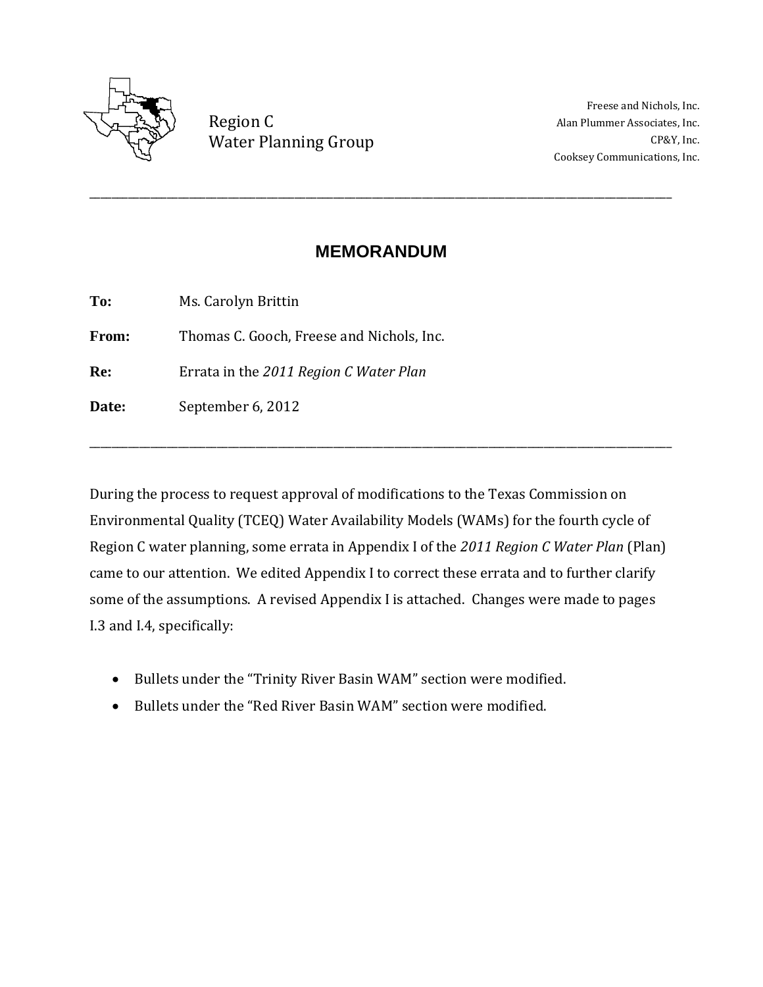

Region C Water Planning Group CP&Y, Inc.

Freese and Nichols, Inc. Alan Plummer Associates, Inc. Cooksey Communications, Inc. 

## **MEMORANDUM**

\_\_\_\_\_\_\_\_\_\_\_\_\_\_\_\_\_\_\_\_\_\_\_\_\_\_\_\_\_\_\_\_\_\_\_\_\_\_\_\_\_\_\_\_\_\_\_\_\_\_\_\_\_\_\_\_\_\_\_\_\_\_\_\_\_\_\_\_\_\_\_\_\_\_\_\_\_\_\_\_\_\_\_\_\_\_\_\_\_\_\_\_\_\_\_\_\_\_\_\_\_\_\_\_\_ 

To: Ms. Carolyn Brittin

**From:** Thomas C. Gooch, Freese and Nichols, Inc.

**Re:** Errata in the 2011 Region *C* Water Plan

Date: September 6, 2012

During the process to request approval of modifications to the Texas Commission on Environmental Quality (TCEQ) Water Availability Models (WAMs) for the fourth cycle of Region C water planning, some errata in Appendix I of the 2011 Region C Water Plan (Plan) came to our attention. We edited Appendix I to correct these errata and to further clarify some of the assumptions. A revised Appendix I is attached. Changes were made to pages I.3 and I.4, specifically:

\_\_\_\_\_\_\_\_\_\_\_\_\_\_\_\_\_\_\_\_\_\_\_\_\_\_\_\_\_\_\_\_\_\_\_\_\_\_\_\_\_\_\_\_\_\_\_\_\_\_\_\_\_\_\_\_\_\_\_\_\_\_\_\_\_\_\_\_\_\_\_\_\_\_\_\_\_\_\_\_\_\_\_\_\_\_\_\_\_\_\_\_\_\_\_\_\_\_\_\_\_\_\_\_\_ 

- Bullets under the "Trinity River Basin WAM" section were modified.
- Bullets under the "Red River Basin WAM" section were modified.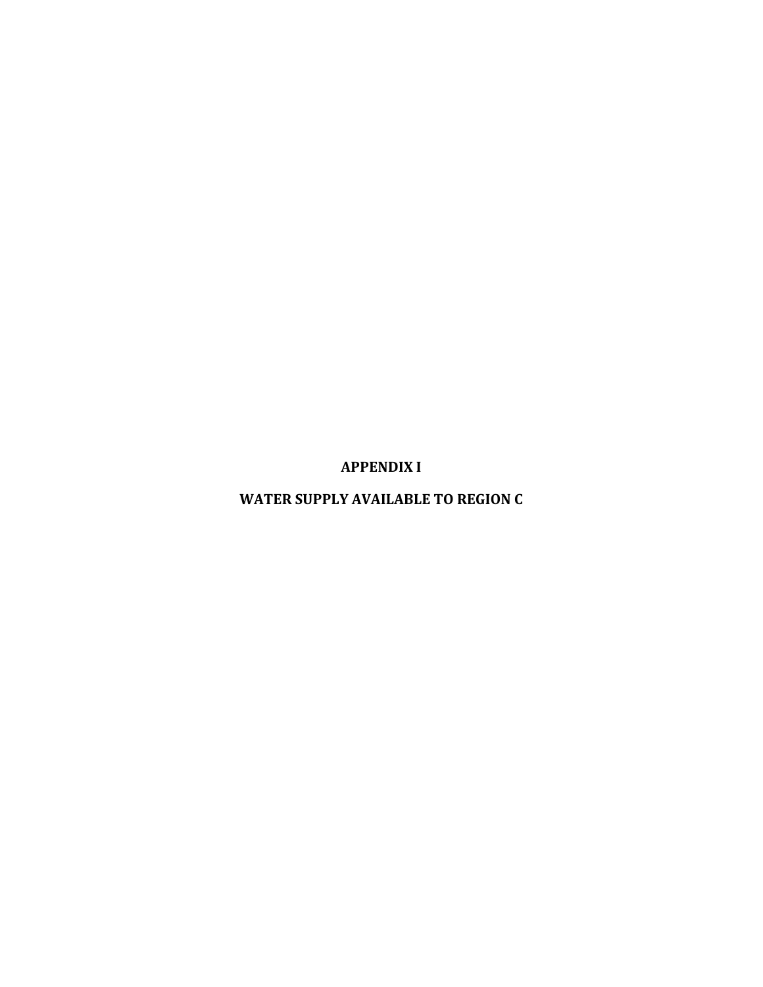**APPENDIX I**

**WATER SUPPLY AVAILABLE TO REGION C**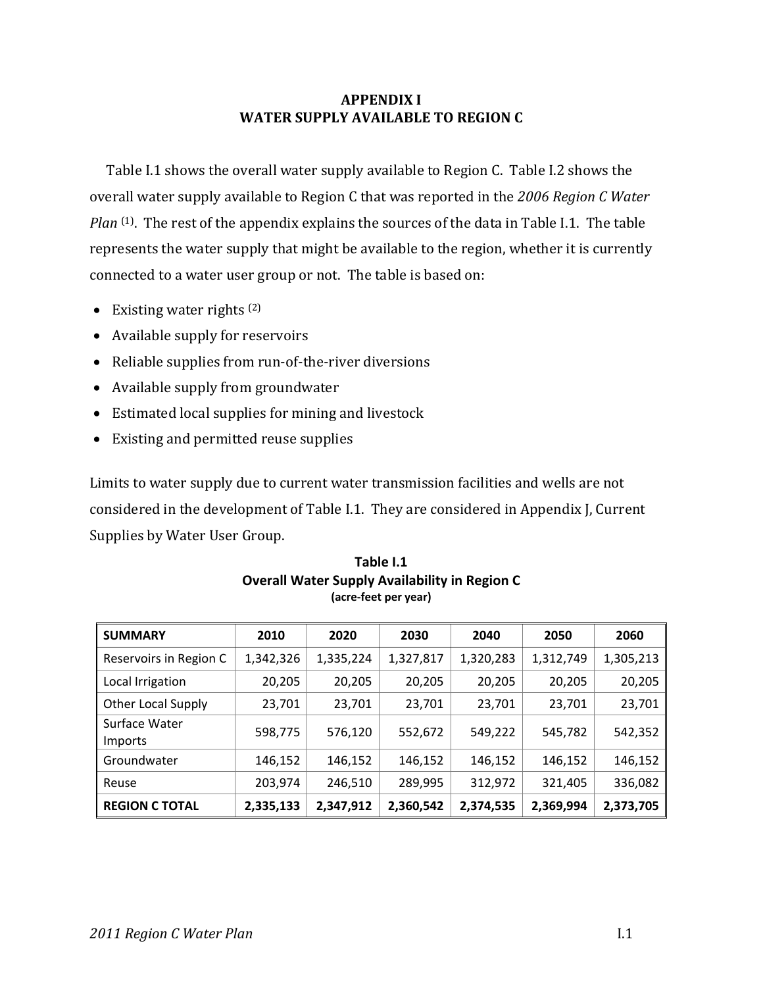#### **APPENDIX I WATER SUPPLY AVAILABLE TO REGION C**

Table I.1 shows the overall water supply available to Region C. Table I.2 shows the overall water supply available to Region C that was reported in the 2006 Region C Water *Plan* <sup>(1)</sup>. The rest of the appendix explains the sources of the data in Table I.1. The table represents the water supply that might be available to the region, whether it is currently connected to a water user group or not. The table is based on:

- Existing water rights  $(2)$
- Available supply for reservoirs
- Reliable supplies from run-of-the-river diversions
- $\bullet$  Available supply from groundwater
- Estimated local supplies for mining and livestock
- Existing and permitted reuse supplies

Limits to water supply due to current water transmission facilities and wells are not considered in the development of Table I.1. They are considered in Appendix J, Current Supplies by Water User Group.

| <b>SUMMARY</b>           | 2010      | 2020      | 2030      | 2040      | 2050      | 2060      |
|--------------------------|-----------|-----------|-----------|-----------|-----------|-----------|
| Reservoirs in Region C   | 1,342,326 | 1,335,224 | 1,327,817 | 1,320,283 | 1,312,749 | 1,305,213 |
| Local Irrigation         | 20,205    | 20,205    | 20,205    | 20,205    | 20,205    | 20,205    |
| Other Local Supply       | 23,701    | 23,701    | 23,701    | 23,701    | 23,701    | 23,701    |
| Surface Water<br>Imports | 598,775   | 576,120   | 552,672   | 549,222   | 545,782   | 542,352   |
| Groundwater              | 146,152   | 146,152   | 146,152   | 146,152   | 146,152   | 146,152   |
| Reuse                    | 203,974   | 246,510   | 289,995   | 312,972   | 321,405   | 336,082   |
| <b>REGION C TOTAL</b>    | 2,335,133 | 2,347,912 | 2,360,542 | 2,374,535 | 2,369,994 | 2,373,705 |

#### **Table I.1 Overall Water Supply Availability in Region C (acre‐feet per year)**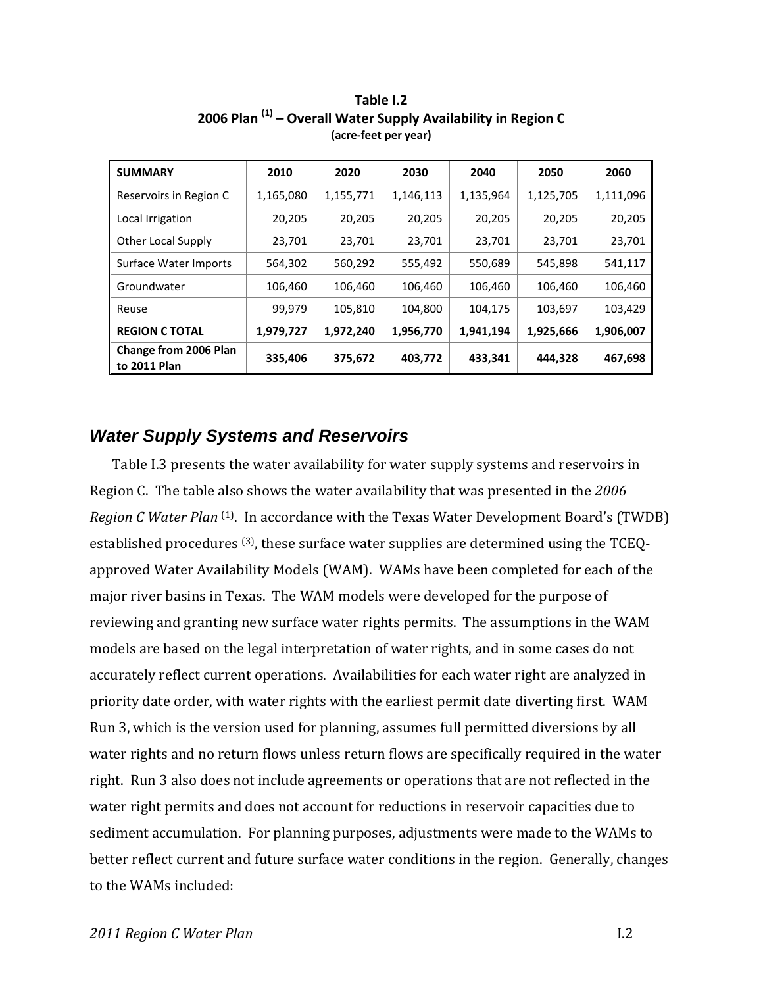| <b>SUMMARY</b>                        | 2010      | 2020      | 2030      | 2040      | 2050      | 2060      |
|---------------------------------------|-----------|-----------|-----------|-----------|-----------|-----------|
| Reservoirs in Region C                | 1,165,080 | 1,155,771 | 1,146,113 | 1,135,964 | 1,125,705 | 1,111,096 |
| Local Irrigation                      | 20,205    | 20,205    | 20,205    | 20,205    | 20,205    | 20,205    |
| Other Local Supply                    | 23,701    | 23,701    | 23,701    | 23,701    | 23,701    | 23,701    |
| Surface Water Imports                 | 564,302   | 560,292   | 555,492   | 550,689   | 545,898   | 541,117   |
| Groundwater                           | 106,460   | 106,460   | 106,460   | 106,460   | 106,460   | 106,460   |
| Reuse                                 | 99,979    | 105,810   | 104,800   | 104,175   | 103,697   | 103,429   |
| <b>REGION C TOTAL</b>                 | 1,979,727 | 1,972,240 | 1,956,770 | 1,941,194 | 1,925,666 | 1,906,007 |
| Change from 2006 Plan<br>to 2011 Plan | 335,406   | 375,672   | 403,772   | 433,341   | 444,328   | 467,698   |

**Table I.2 2006 Plan (1) – Overall Water Supply Availability in Region C (acre‐feet per year)**

## *Water Supply Systems and Reservoirs*

Table I.3 presents the water availability for water supply systems and reservoirs in Region C. The table also shows the water availability that was presented in the 2006 *Region C Water Plan* <sup>(1)</sup>. In accordance with the Texas Water Development Board's (TWDB) established procedures  $(3)$ , these surface water supplies are determined using the TCEQapproved Water Availability Models (WAM). WAMs have been completed for each of the major river basins in Texas. The WAM models were developed for the purpose of reviewing and granting new surface water rights permits. The assumptions in the WAM models are based on the legal interpretation of water rights, and in some cases do not accurately reflect current operations. Availabilities for each water right are analyzed in priority date order, with water rights with the earliest permit date diverting first. WAM Run 3, which is the version used for planning, assumes full permitted diversions by all water rights and no return flows unless return flows are specifically required in the water right. Run 3 also does not include agreements or operations that are not reflected in the water right permits and does not account for reductions in reservoir capacities due to sediment accumulation. For planning purposes, adjustments were made to the WAMs to better reflect current and future surface water conditions in the region. Generally, changes to the WAMs included: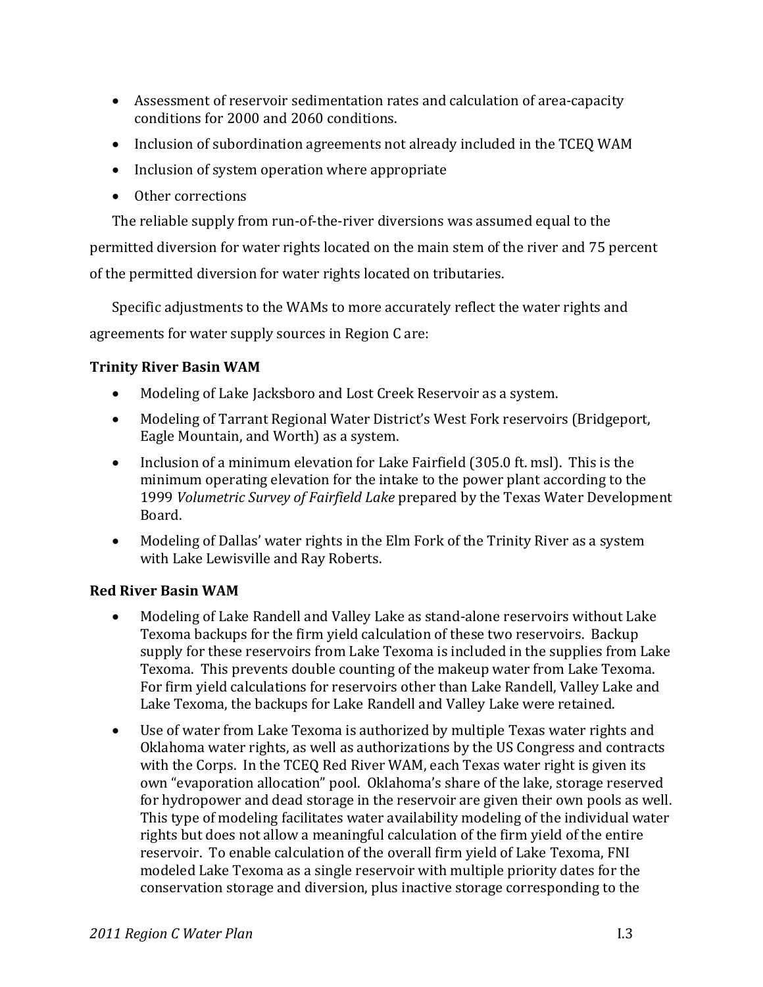- Assessment of reservoir sedimentation rates and calculation of area-capacity conditions for 2000 and 2060 conditions.
- Inclusion of subordination agreements not already included in the TCEQ WAM
- Inclusion of system operation where appropriate
- Other corrections

The reliable supply from run-of-the-river diversions was assumed equal to the

permitted diversion for water rights located on the main stem of the river and 75 percent of the permitted diversion for water rights located on tributaries.

Specific adjustments to the WAMs to more accurately reflect the water rights and agreements for water supply sources in Region C are:

## **Trinity River Basin WAM**

- Modeling of Lake Jacksboro and Lost Creek Reservoir as a system.
- Modeling of Tarrant Regional Water District's West Fork reservoirs (Bridgeport, Eagle Mountain, and Worth) as a system.
- Inclusion of a minimum elevation for Lake Fairfield  $(305.0 \text{ ft. m} s)$ . This is the minimum operating elevation for the intake to the power plant according to the 1999 *Volumetric Survey of Fairfield Lake* prepared by the Texas Water Development Board.
- Modeling of Dallas' water rights in the Elm Fork of the Trinity River as a system with Lake Lewisville and Ray Roberts.

### **Red River Basin WAM**

- Modeling of Lake Randell and Valley Lake as stand-alone reservoirs without Lake Texoma backups for the firm yield calculation of these two reservoirs. Backup supply for these reservoirs from Lake Texoma is included in the supplies from Lake Texoma. This prevents double counting of the makeup water from Lake Texoma. For firm vield calculations for reservoirs other than Lake Randell, Valley Lake and Lake Texoma, the backups for Lake Randell and Valley Lake were retained.
- Use of water from Lake Texoma is authorized by multiple Texas water rights and Oklahoma water rights, as well as authorizations by the US Congress and contracts with the Corps. In the TCEQ Red River WAM, each Texas water right is given its own "evaporation allocation" pool. Oklahoma's share of the lake, storage reserved for hydropower and dead storage in the reservoir are given their own pools as well. This type of modeling facilitates water availability modeling of the individual water rights but does not allow a meaningful calculation of the firm yield of the entire reservoir. To enable calculation of the overall firm yield of Lake Texoma, FNI modeled Lake Texoma as a single reservoir with multiple priority dates for the conservation storage and diversion, plus inactive storage corresponding to the